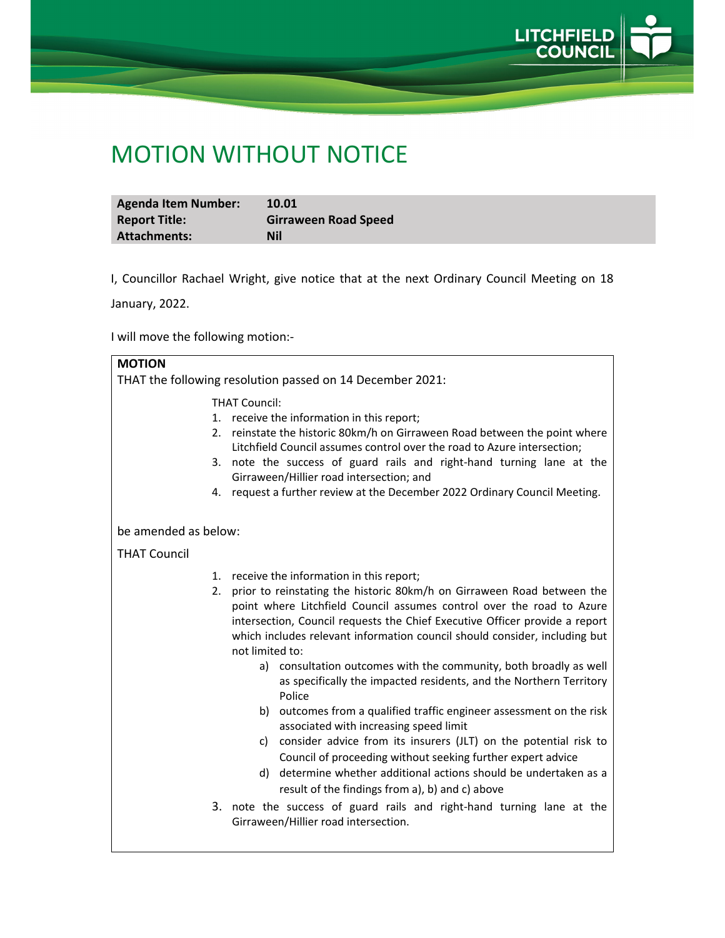

## MOTION WITHOUT NOTICE

| <b>Agenda Item Number:</b> | 10.01                       |
|----------------------------|-----------------------------|
| <b>Report Title:</b>       | <b>Girraween Road Speed</b> |
| <b>Attachments:</b>        | <b>Nil</b>                  |

I, Councillor Rachael Wright, give notice that at the next Ordinary Council Meeting on 18

January, 2022.

I will move the following motion:‐

| <b>MOTION</b>                                             |                                                                                                                                                                                                                                                                                                                                                                                                                                                                                                                                                                                                                                                                                                                                                                                                                                                                                                                                                                                             |  |
|-----------------------------------------------------------|---------------------------------------------------------------------------------------------------------------------------------------------------------------------------------------------------------------------------------------------------------------------------------------------------------------------------------------------------------------------------------------------------------------------------------------------------------------------------------------------------------------------------------------------------------------------------------------------------------------------------------------------------------------------------------------------------------------------------------------------------------------------------------------------------------------------------------------------------------------------------------------------------------------------------------------------------------------------------------------------|--|
| THAT the following resolution passed on 14 December 2021: |                                                                                                                                                                                                                                                                                                                                                                                                                                                                                                                                                                                                                                                                                                                                                                                                                                                                                                                                                                                             |  |
|                                                           | <b>THAT Council:</b><br>1. receive the information in this report;<br>2. reinstate the historic 80km/h on Girraween Road between the point where<br>Litchfield Council assumes control over the road to Azure intersection;<br>3. note the success of guard rails and right-hand turning lane at the<br>Girraween/Hillier road intersection; and<br>4. request a further review at the December 2022 Ordinary Council Meeting.                                                                                                                                                                                                                                                                                                                                                                                                                                                                                                                                                              |  |
| be amended as below:                                      |                                                                                                                                                                                                                                                                                                                                                                                                                                                                                                                                                                                                                                                                                                                                                                                                                                                                                                                                                                                             |  |
| <b>THAT Council</b>                                       |                                                                                                                                                                                                                                                                                                                                                                                                                                                                                                                                                                                                                                                                                                                                                                                                                                                                                                                                                                                             |  |
| 2.                                                        | 1. receive the information in this report;<br>prior to reinstating the historic 80km/h on Girraween Road between the<br>point where Litchfield Council assumes control over the road to Azure<br>intersection, Council requests the Chief Executive Officer provide a report<br>which includes relevant information council should consider, including but<br>not limited to:<br>a) consultation outcomes with the community, both broadly as well<br>as specifically the impacted residents, and the Northern Territory<br>Police<br>b) outcomes from a qualified traffic engineer assessment on the risk<br>associated with increasing speed limit<br>c) consider advice from its insurers (JLT) on the potential risk to<br>Council of proceeding without seeking further expert advice<br>d) determine whether additional actions should be undertaken as a<br>result of the findings from a), b) and c) above<br>3. note the success of guard rails and right-hand turning lane at the |  |
|                                                           | Girraween/Hillier road intersection.                                                                                                                                                                                                                                                                                                                                                                                                                                                                                                                                                                                                                                                                                                                                                                                                                                                                                                                                                        |  |